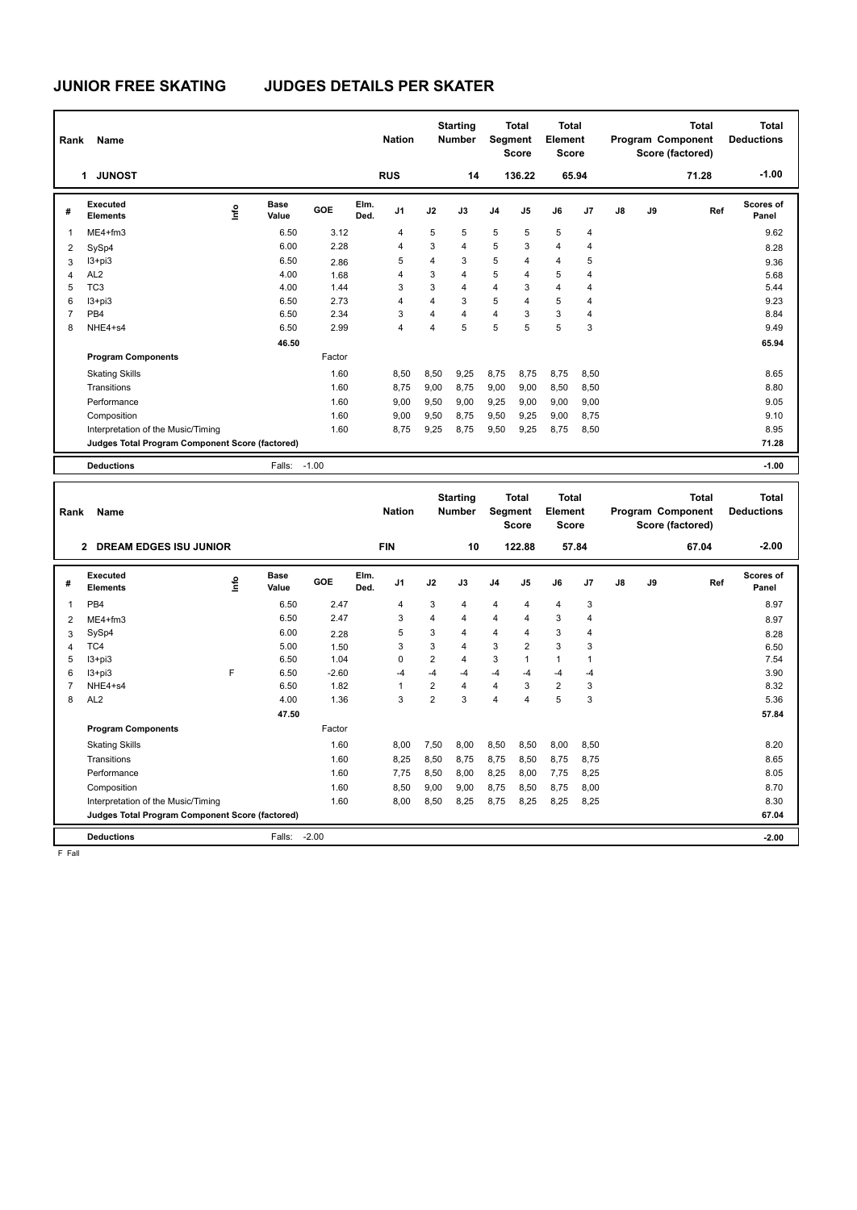| Rank           | Name                                            |      |                      |         |              | <b>Nation</b>  |      | <b>Starting</b><br><b>Number</b> | Segment        | <b>Total</b><br><b>Score</b> | Total<br><b>Element</b><br><b>Score</b> |                |    |    | <b>Total</b><br>Program Component<br>Score (factored) | Total<br><b>Deductions</b> |
|----------------|-------------------------------------------------|------|----------------------|---------|--------------|----------------|------|----------------------------------|----------------|------------------------------|-----------------------------------------|----------------|----|----|-------------------------------------------------------|----------------------------|
|                | <b>JUNOST</b><br>1                              |      |                      |         |              | <b>RUS</b>     |      | 14                               |                | 136.22                       |                                         | 65.94          |    |    | 71.28                                                 | $-1.00$                    |
| #              | Executed<br><b>Elements</b>                     | lnfo | <b>Base</b><br>Value | GOE     | Elm.<br>Ded. | J <sub>1</sub> | J2   | J3                               | J <sub>4</sub> | J5                           | J6                                      | J <sub>7</sub> | J8 | J9 | Ref                                                   | Scores of<br>Panel         |
| 1              | $ME4 + fm3$                                     |      | 6.50                 | 3.12    |              | 4              | 5    | 5                                | 5              | 5                            | 5                                       | 4              |    |    |                                                       | 9.62                       |
| 2              | SySp4                                           |      | 6.00                 | 2.28    |              | 4              | 3    | $\overline{4}$                   | 5              | 3                            | $\overline{4}$                          | $\overline{4}$ |    |    |                                                       | 8.28                       |
| 3              | $13 + pi3$                                      |      | 6.50                 | 2.86    |              | 5              | 4    | 3                                | 5              | 4                            | $\overline{4}$                          | 5              |    |    |                                                       | 9.36                       |
| 4              | AL <sub>2</sub>                                 |      | 4.00                 | 1.68    |              | 4              | 3    | 4                                | 5              | 4                            | 5                                       | 4              |    |    |                                                       | 5.68                       |
| 5              | TC <sub>3</sub>                                 |      | 4.00                 | 1.44    |              | 3              | 3    | 4                                | 4              | 3                            | $\overline{4}$                          | 4              |    |    |                                                       | 5.44                       |
| 6              | $13 + pi3$                                      |      | 6.50                 | 2.73    |              | 4              | 4    | 3                                | 5              | 4                            | 5                                       | 4              |    |    |                                                       | 9.23                       |
| $\overline{7}$ | PB <sub>4</sub>                                 |      | 6.50                 | 2.34    |              | 3              | 4    | $\overline{4}$                   | 4              | 3                            | 3                                       | 4              |    |    |                                                       | 8.84                       |
| 8              | NHE4+s4                                         |      | 6.50                 | 2.99    |              | 4              | 4    | 5                                | 5              | 5                            | 5                                       | 3              |    |    |                                                       | 9.49                       |
|                |                                                 |      | 46.50                |         |              |                |      |                                  |                |                              |                                         |                |    |    |                                                       | 65.94                      |
|                | <b>Program Components</b>                       |      |                      | Factor  |              |                |      |                                  |                |                              |                                         |                |    |    |                                                       |                            |
|                | <b>Skating Skills</b>                           |      |                      | 1.60    |              | 8,50           | 8,50 | 9,25                             | 8,75           | 8,75                         | 8,75                                    | 8,50           |    |    |                                                       | 8.65                       |
|                | Transitions                                     |      |                      | 1.60    |              | 8,75           | 9,00 | 8,75                             | 9,00           | 9,00                         | 8,50                                    | 8,50           |    |    |                                                       | 8.80                       |
|                | Performance                                     |      |                      | 1.60    |              | 9,00           | 9,50 | 9,00                             | 9,25           | 9,00                         | 9,00                                    | 9,00           |    |    |                                                       | 9.05                       |
|                | Composition                                     |      |                      | 1.60    |              | 9,00           | 9,50 | 8,75                             | 9,50           | 9,25                         | 9,00                                    | 8,75           |    |    |                                                       | 9.10                       |
|                | Interpretation of the Music/Timing              |      |                      | 1.60    |              | 8,75           | 9,25 | 8,75                             | 9,50           | 9,25                         | 8,75                                    | 8,50           |    |    |                                                       | 8.95                       |
|                | Judges Total Program Component Score (factored) |      |                      |         |              |                |      |                                  |                |                              |                                         |                |    |    |                                                       | 71.28                      |
|                | <b>Deductions</b>                               |      | Falls:               | $-1.00$ |              |                |      |                                  |                |                              |                                         |                |    |    |                                                       | $-1.00$                    |

| Rank           | Name                                            |                                  |                      |         |              | <b>Nation</b>  |                | <b>Starting</b><br><b>Number</b> | Segment        | <b>Total</b><br><b>Score</b> | Total<br>Element<br><b>Score</b> |                |               |    | <b>Total</b><br>Program Component<br>Score (factored) | Total<br><b>Deductions</b> |
|----------------|-------------------------------------------------|----------------------------------|----------------------|---------|--------------|----------------|----------------|----------------------------------|----------------|------------------------------|----------------------------------|----------------|---------------|----|-------------------------------------------------------|----------------------------|
|                | 2 DREAM EDGES ISU JUNIOR                        |                                  |                      |         |              | <b>FIN</b>     |                | 10                               |                | 122.88                       | 57.84                            |                |               |    | 67.04                                                 | $-2.00$                    |
| #              | Executed<br><b>Elements</b>                     | $\mathop{\mathsf{Irr}}\nolimits$ | <b>Base</b><br>Value | GOE     | Elm.<br>Ded. | J <sub>1</sub> | J2             | J3                               | J <sub>4</sub> | J <sub>5</sub>               | J6                               | J <sub>7</sub> | $\mathsf{J}8$ | J9 | Ref                                                   | <b>Scores of</b><br>Panel  |
| 1              | PB <sub>4</sub>                                 |                                  | 6.50                 | 2.47    |              | 4              | 3              | $\overline{4}$                   | $\overline{4}$ | $\overline{4}$               | $\overline{4}$                   | 3              |               |    |                                                       | 8.97                       |
| $\overline{2}$ | $ME4 + fm3$                                     |                                  | 6.50                 | 2.47    |              | 3              | 4              | 4                                | $\overline{4}$ | 4                            | 3                                | 4              |               |    |                                                       | 8.97                       |
| 3              | SySp4                                           |                                  | 6.00                 | 2.28    |              | 5              | 3              | 4                                | $\overline{4}$ | 4                            | 3                                | 4              |               |    |                                                       | 8.28                       |
| 4              | TC4                                             |                                  | 5.00                 | 1.50    |              | 3              | 3              | $\overline{4}$                   | 3              | $\overline{2}$               | 3                                | 3              |               |    |                                                       | 6.50                       |
| 5              | $13 + pi3$                                      |                                  | 6.50                 | 1.04    |              | 0              | $\overline{2}$ | 4                                | 3              | 1                            | $\mathbf{1}$                     |                |               |    |                                                       | 7.54                       |
| 6              | $13 + pi3$                                      | F                                | 6.50                 | $-2.60$ |              | $-4$           | $-4$           | -4                               | $-4$           | $-4$                         | $-4$                             | $-4$           |               |    |                                                       | 3.90                       |
| $\overline{7}$ | NHE4+s4                                         |                                  | 6.50                 | 1.82    |              | 1              | $\overline{2}$ | $\overline{4}$                   | $\overline{4}$ | 3                            | $\overline{2}$                   | 3              |               |    |                                                       | 8.32                       |
| 8              | AL <sub>2</sub>                                 |                                  | 4.00                 | 1.36    |              | 3              | $\overline{2}$ | 3                                | $\overline{4}$ | 4                            | 5                                | 3              |               |    |                                                       | 5.36                       |
|                |                                                 |                                  | 47.50                |         |              |                |                |                                  |                |                              |                                  |                |               |    |                                                       | 57.84                      |
|                | <b>Program Components</b>                       |                                  |                      | Factor  |              |                |                |                                  |                |                              |                                  |                |               |    |                                                       |                            |
|                | <b>Skating Skills</b>                           |                                  |                      | 1.60    |              | 8.00           | 7,50           | 8.00                             | 8,50           | 8,50                         | 8,00                             | 8,50           |               |    |                                                       | 8.20                       |
|                | Transitions                                     |                                  |                      | 1.60    |              | 8,25           | 8,50           | 8.75                             | 8,75           | 8,50                         | 8.75                             | 8,75           |               |    |                                                       | 8.65                       |
|                | Performance                                     |                                  |                      | 1.60    |              | 7.75           | 8,50           | 8,00                             | 8,25           | 8,00                         | 7,75                             | 8,25           |               |    |                                                       | 8.05                       |
|                | Composition                                     |                                  |                      | 1.60    |              | 8.50           | 9.00           | 9.00                             | 8.75           | 8.50                         | 8.75                             | 8.00           |               |    |                                                       | 8.70                       |
|                | Interpretation of the Music/Timing              |                                  |                      | 1.60    |              | 8,00           | 8,50           | 8,25                             | 8,75           | 8,25                         | 8,25                             | 8,25           |               |    |                                                       | 8.30                       |
|                | Judges Total Program Component Score (factored) |                                  |                      |         |              |                |                |                                  |                |                              |                                  |                |               |    |                                                       | 67.04                      |
|                | <b>Deductions</b>                               |                                  | Falls:               | $-2.00$ |              |                |                |                                  |                |                              |                                  |                |               |    |                                                       | $-2.00$                    |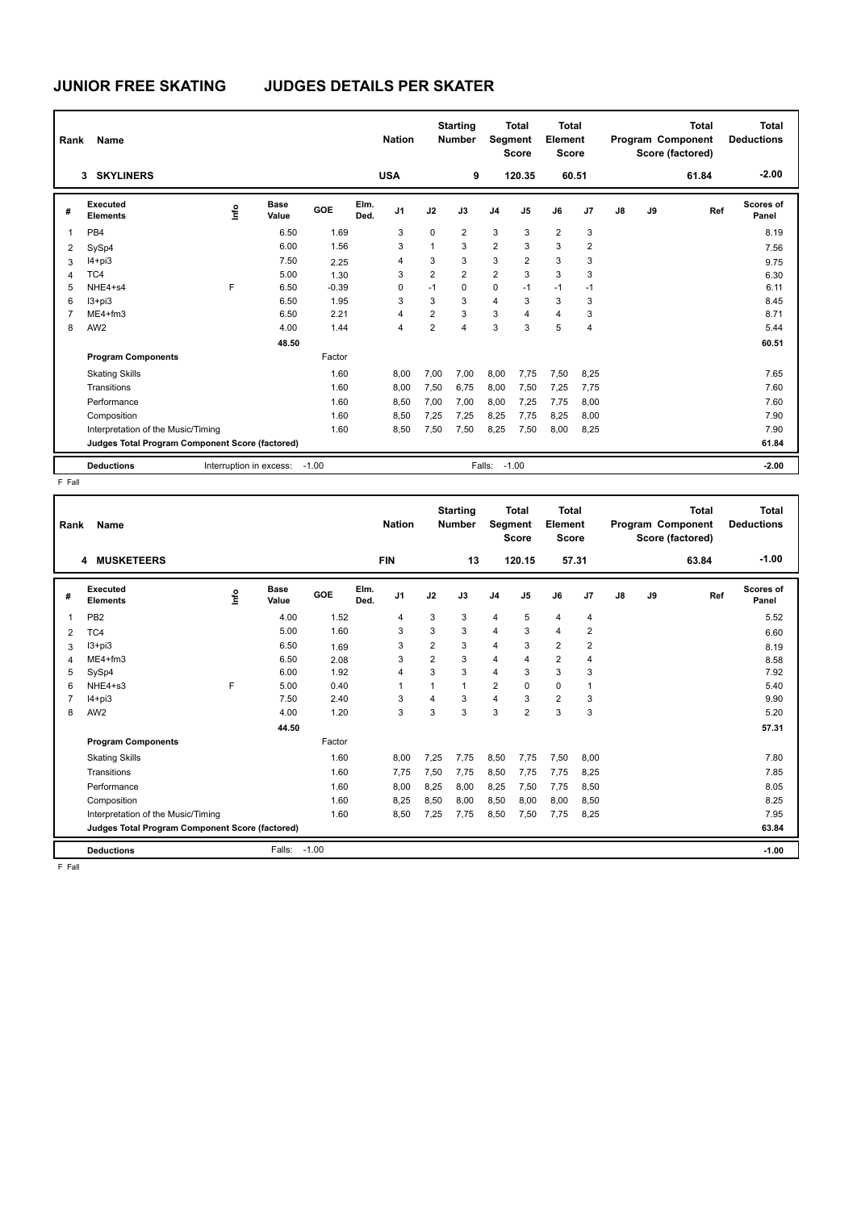| Rank           | Name                                            |    |                         |            |              | <b>Nation</b>  |                | <b>Starting</b><br><b>Number</b> | Segment        | Total<br><b>Score</b> | Total<br><b>Element</b><br><b>Score</b> |                |    |    | <b>Total</b><br>Program Component<br>Score (factored) | Total<br><b>Deductions</b> |
|----------------|-------------------------------------------------|----|-------------------------|------------|--------------|----------------|----------------|----------------------------------|----------------|-----------------------|-----------------------------------------|----------------|----|----|-------------------------------------------------------|----------------------------|
|                | <b>SKYLINERS</b><br>3                           |    |                         |            |              | <b>USA</b>     |                | 9                                |                | 120.35                |                                         | 60.51          |    |    | 61.84                                                 | $-2.00$                    |
| #              | Executed<br><b>Elements</b>                     | ۴ů | <b>Base</b><br>Value    | <b>GOE</b> | Elm.<br>Ded. | J <sub>1</sub> | J2             | J3                               | J <sub>4</sub> | J <sub>5</sub>        | J6                                      | J <sub>7</sub> | J8 | J9 | Ref                                                   | Scores of<br>Panel         |
| 1              | PB4                                             |    | 6.50                    | 1.69       |              | 3              | $\Omega$       | $\overline{2}$                   | 3              | 3                     | $\overline{2}$                          | 3              |    |    |                                                       | 8.19                       |
| 2              | SySp4                                           |    | 6.00                    | 1.56       |              | 3              | 1              | 3                                | $\overline{2}$ | 3                     | 3                                       | $\overline{2}$ |    |    |                                                       | 7.56                       |
| 3              | $I4 + pi3$                                      |    | 7.50                    | 2.25       |              | 4              | 3              | 3                                | 3              | 2                     | 3                                       | 3              |    |    |                                                       | 9.75                       |
| 4              | TC4                                             |    | 5.00                    | 1.30       |              | 3              | $\overline{2}$ | $\overline{2}$                   | $\overline{2}$ | 3                     | 3                                       | 3              |    |    |                                                       | 6.30                       |
| 5              | NHE4+s4                                         | F  | 6.50                    | $-0.39$    |              | 0              | $-1$           | $\Omega$                         | $\mathbf 0$    | $-1$                  | $-1$                                    | $-1$           |    |    |                                                       | 6.11                       |
| 6              | $13 + pi3$                                      |    | 6.50                    | 1.95       |              | 3              | 3              | 3                                | $\overline{4}$ | 3                     | 3                                       | 3              |    |    |                                                       | 8.45                       |
| $\overline{7}$ | $ME4 + fm3$                                     |    | 6.50                    | 2.21       |              | 4              | $\overline{2}$ | 3                                | 3              | 4                     | 4                                       | 3              |    |    |                                                       | 8.71                       |
| 8              | AW <sub>2</sub>                                 |    | 4.00                    | 1.44       |              | 4              | $\overline{2}$ | 4                                | 3              | 3                     | 5                                       | 4              |    |    |                                                       | 5.44                       |
|                |                                                 |    | 48.50                   |            |              |                |                |                                  |                |                       |                                         |                |    |    |                                                       | 60.51                      |
|                | <b>Program Components</b>                       |    |                         | Factor     |              |                |                |                                  |                |                       |                                         |                |    |    |                                                       |                            |
|                | <b>Skating Skills</b>                           |    |                         | 1.60       |              | 8,00           | 7,00           | 7,00                             | 8,00           | 7,75                  | 7,50                                    | 8,25           |    |    |                                                       | 7.65                       |
|                | Transitions                                     |    |                         | 1.60       |              | 8,00           | 7,50           | 6,75                             | 8,00           | 7,50                  | 7,25                                    | 7,75           |    |    |                                                       | 7.60                       |
|                | Performance                                     |    |                         | 1.60       |              | 8,50           | 7,00           | 7,00                             | 8,00           | 7.25                  | 7.75                                    | 8,00           |    |    |                                                       | 7.60                       |
|                | Composition                                     |    |                         | 1.60       |              | 8,50           | 7,25           | 7,25                             | 8,25           | 7,75                  | 8,25                                    | 8,00           |    |    |                                                       | 7.90                       |
|                | Interpretation of the Music/Timing              |    |                         | 1.60       |              | 8,50           | 7,50           | 7,50                             | 8,25           | 7,50                  | 8,00                                    | 8,25           |    |    |                                                       | 7.90                       |
|                | Judges Total Program Component Score (factored) |    |                         |            |              |                |                |                                  |                |                       |                                         |                |    |    |                                                       | 61.84                      |
|                | <b>Deductions</b>                               |    | Interruption in excess: | $-1.00$    |              |                |                |                                  | Falls: -1.00   |                       |                                         |                |    |    |                                                       | $-2.00$                    |

F Fall

| Rank            | Name                                            |      |                      |         |              | <b>Nation</b>  |                | <b>Starting</b><br><b>Number</b> | Segment        | <b>Total</b><br><b>Score</b> | <b>Total</b><br>Element<br><b>Score</b> |                |    |    | <b>Total</b><br>Program Component<br>Score (factored) | <b>Total</b><br><b>Deductions</b> |
|-----------------|-------------------------------------------------|------|----------------------|---------|--------------|----------------|----------------|----------------------------------|----------------|------------------------------|-----------------------------------------|----------------|----|----|-------------------------------------------------------|-----------------------------------|
|                 | <b>MUSKETEERS</b><br>4                          |      |                      |         |              | <b>FIN</b>     |                | 13                               |                | 120.15                       | 57.31                                   |                |    |    | 63.84                                                 | $-1.00$                           |
| #               | Executed<br><b>Elements</b>                     | Info | <b>Base</b><br>Value | GOE     | Elm.<br>Ded. | J <sub>1</sub> | J2             | J3                               | J <sub>4</sub> | J <sub>5</sub>               | J6                                      | J7             | J8 | J9 | Ref                                                   | Scores of<br>Panel                |
| 1               | PB <sub>2</sub>                                 |      | 4.00                 | 1.52    |              | $\overline{4}$ | 3              | 3                                | $\overline{4}$ | 5                            | $\overline{4}$                          | 4              |    |    |                                                       | 5.52                              |
| 2               | TC4                                             |      | 5.00                 | 1.60    |              | 3              | 3              | 3                                | $\overline{4}$ | 3                            | $\overline{4}$                          | $\overline{2}$ |    |    |                                                       | 6.60                              |
| 3               | $13 + pi3$                                      |      | 6.50                 | 1.69    |              | 3              | $\overline{2}$ | 3                                | $\overline{4}$ | 3                            | $\overline{2}$                          | $\overline{2}$ |    |    |                                                       | 8.19                              |
| 4               | $ME4 + fm3$                                     |      | 6.50                 | 2.08    |              | 3              | $\overline{2}$ | 3                                | 4              | $\overline{4}$               | $\overline{2}$                          | 4              |    |    |                                                       | 8.58                              |
| 5               | SySp4                                           |      | 6.00                 | 1.92    |              | $\overline{4}$ | 3              | 3                                | 4              | 3                            | 3                                       | 3              |    |    |                                                       | 7.92                              |
| 6               | NHE4+s3                                         | F    | 5.00                 | 0.40    |              |                | 1              | 1                                | $\overline{2}$ | $\Omega$                     | $\mathbf 0$                             | 1              |    |    |                                                       | 5.40                              |
| 7               | $I4 + pi3$                                      |      | 7.50                 | 2.40    |              | 3              | 4              | 3                                | $\overline{4}$ | 3                            | $\overline{2}$                          | 3              |    |    |                                                       | 9.90                              |
| 8               | AW <sub>2</sub>                                 |      | 4.00                 | 1.20    |              | 3              | 3              | 3                                | 3              | $\overline{2}$               | 3                                       | 3              |    |    |                                                       | 5.20                              |
|                 |                                                 |      | 44.50                |         |              |                |                |                                  |                |                              |                                         |                |    |    |                                                       | 57.31                             |
|                 | <b>Program Components</b>                       |      |                      | Factor  |              |                |                |                                  |                |                              |                                         |                |    |    |                                                       |                                   |
|                 | <b>Skating Skills</b>                           |      |                      | 1.60    |              | 8,00           | 7,25           | 7,75                             | 8,50           | 7,75                         | 7,50                                    | 8,00           |    |    |                                                       | 7.80                              |
|                 | Transitions                                     |      |                      | 1.60    |              | 7,75           | 7,50           | 7,75                             | 8,50           | 7,75                         | 7,75                                    | 8,25           |    |    |                                                       | 7.85                              |
|                 | Performance                                     |      |                      | 1.60    |              | 8,00           | 8,25           | 8,00                             | 8,25           | 7,50                         | 7,75                                    | 8,50           |    |    |                                                       | 8.05                              |
|                 | Composition                                     |      |                      | 1.60    |              | 8,25           | 8,50           | 8,00                             | 8,50           | 8,00                         | 8,00                                    | 8,50           |    |    |                                                       | 8.25                              |
|                 | Interpretation of the Music/Timing              |      |                      | 1.60    |              | 8,50           | 7,25           | 7.75                             | 8,50           | 7,50                         | 7,75                                    | 8,25           |    |    |                                                       | 7.95                              |
|                 | Judges Total Program Component Score (factored) |      |                      |         |              |                |                |                                  |                |                              |                                         |                |    |    |                                                       | 63.84                             |
|                 | <b>Deductions</b>                               |      | Falls:               | $-1.00$ |              |                |                |                                  |                |                              |                                         |                |    |    |                                                       | $-1.00$                           |
| $E - E \sim 11$ |                                                 |      |                      |         |              |                |                |                                  |                |                              |                                         |                |    |    |                                                       |                                   |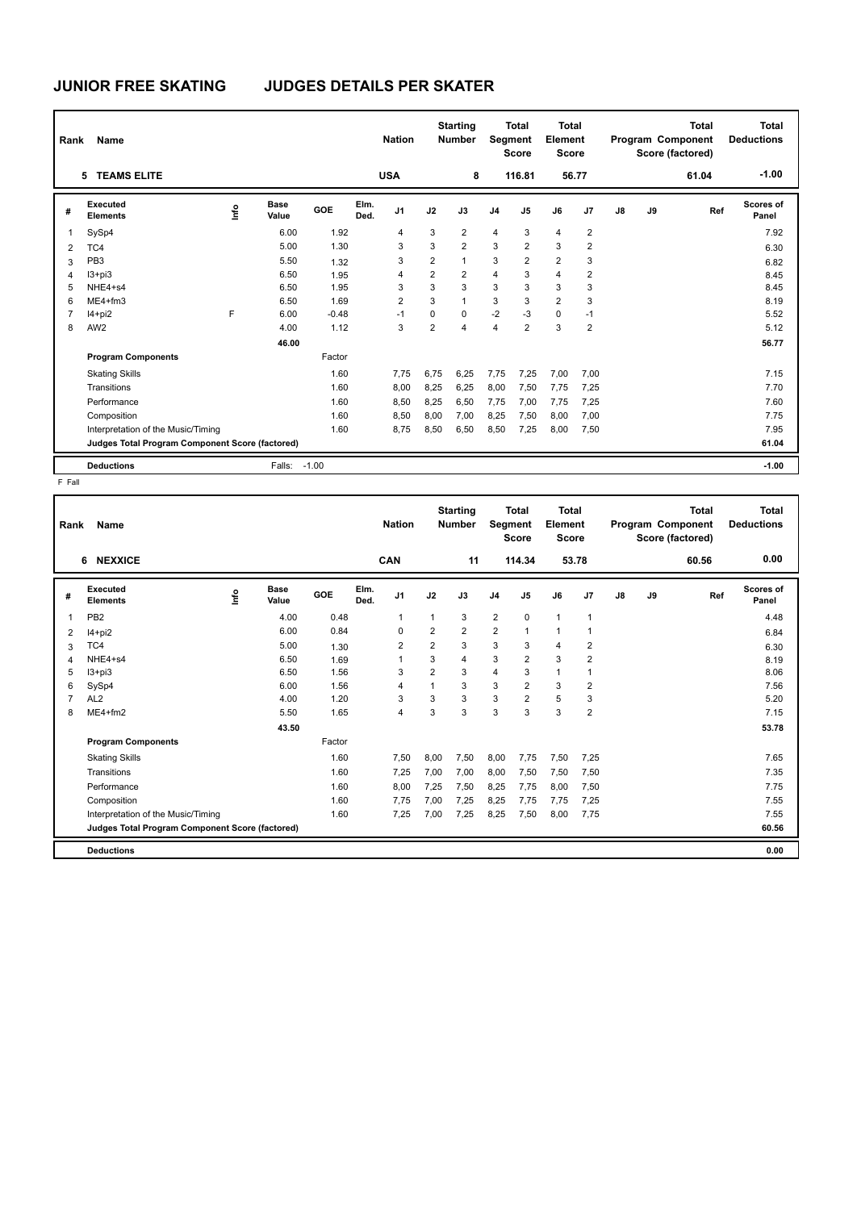| Rank | Name                                            |      |                      |         |              | <b>Nation</b>  |                | <b>Starting</b><br><b>Number</b> |                | <b>Total</b><br>Segment<br><b>Score</b> | <b>Total</b><br>Element<br><b>Score</b> |                |               |    | <b>Total</b><br>Program Component<br>Score (factored) | <b>Total</b><br><b>Deductions</b> |
|------|-------------------------------------------------|------|----------------------|---------|--------------|----------------|----------------|----------------------------------|----------------|-----------------------------------------|-----------------------------------------|----------------|---------------|----|-------------------------------------------------------|-----------------------------------|
|      | <b>TEAMS ELITE</b><br>5.                        |      |                      |         |              | <b>USA</b>     |                | 8                                |                | 116.81                                  |                                         | 56.77          |               |    | 61.04                                                 | $-1.00$                           |
| #    | Executed<br><b>Elements</b>                     | ١nfo | <b>Base</b><br>Value | GOE     | Elm.<br>Ded. | J <sub>1</sub> | J2             | J3                               | J <sub>4</sub> | J5                                      | J6                                      | J7             | $\mathsf{J}8$ | J9 | Ref                                                   | Scores of<br>Panel                |
|      | SySp4                                           |      | 6.00                 | 1.92    |              | 4              | 3              | 2                                | $\overline{4}$ | 3                                       | $\overline{4}$                          | 2              |               |    |                                                       | 7.92                              |
| 2    | TC4                                             |      | 5.00                 | 1.30    |              | 3              | 3              | $\overline{2}$                   | 3              | $\overline{2}$                          | 3                                       | 2              |               |    |                                                       | 6.30                              |
| 3    | PB <sub>3</sub>                                 |      | 5.50                 | 1.32    |              | 3              | $\overline{2}$ | $\mathbf{1}$                     | 3              | $\overline{2}$                          | $\overline{2}$                          | 3              |               |    |                                                       | 6.82                              |
| 4    | $13 + pi3$                                      |      | 6.50                 | 1.95    |              | 4              | 2              | $\overline{2}$                   | $\overline{4}$ | 3                                       | $\overline{4}$                          | 2              |               |    |                                                       | 8.45                              |
| 5    | NHE4+s4                                         |      | 6.50                 | 1.95    |              | 3              | 3              | 3                                | 3              | 3                                       | 3                                       | 3              |               |    |                                                       | 8.45                              |
| 6    | $ME4 + fm3$                                     |      | 6.50                 | 1.69    |              | $\overline{2}$ | 3              | $\mathbf{1}$                     | 3              | 3                                       | $\overline{2}$                          | 3              |               |    |                                                       | 8.19                              |
| 7    | $14+pi2$                                        | F    | 6.00                 | $-0.48$ |              | $-1$           | 0              | 0                                | $-2$           | $-3$                                    | $\mathbf 0$                             | $-1$           |               |    |                                                       | 5.52                              |
| 8    | AW <sub>2</sub>                                 |      | 4.00                 | 1.12    |              | 3              | $\overline{2}$ | $\overline{4}$                   | 4              | $\overline{2}$                          | 3                                       | $\overline{2}$ |               |    |                                                       | 5.12                              |
|      |                                                 |      | 46.00                |         |              |                |                |                                  |                |                                         |                                         |                |               |    |                                                       | 56.77                             |
|      | <b>Program Components</b>                       |      |                      | Factor  |              |                |                |                                  |                |                                         |                                         |                |               |    |                                                       |                                   |
|      | <b>Skating Skills</b>                           |      |                      | 1.60    |              | 7,75           | 6.75           | 6,25                             | 7,75           | 7,25                                    | 7,00                                    | 7,00           |               |    |                                                       | 7.15                              |
|      | Transitions                                     |      |                      | 1.60    |              | 8,00           | 8,25           | 6,25                             | 8,00           | 7,50                                    | 7,75                                    | 7,25           |               |    |                                                       | 7.70                              |
|      | Performance                                     |      |                      | 1.60    |              | 8,50           | 8,25           | 6,50                             | 7,75           | 7,00                                    | 7,75                                    | 7,25           |               |    |                                                       | 7.60                              |
|      | Composition                                     |      |                      | 1.60    |              | 8,50           | 8,00           | 7,00                             | 8,25           | 7,50                                    | 8,00                                    | 7,00           |               |    |                                                       | 7.75                              |
|      | Interpretation of the Music/Timing              |      |                      | 1.60    |              | 8,75           | 8,50           | 6,50                             | 8,50           | 7,25                                    | 8,00                                    | 7,50           |               |    |                                                       | 7.95                              |
|      | Judges Total Program Component Score (factored) |      |                      |         |              |                |                |                                  |                |                                         |                                         |                |               |    |                                                       | 61.04                             |
|      | <b>Deductions</b>                               |      | Falls:               | $-1.00$ |              |                |                |                                  |                |                                         |                                         |                |               |    |                                                       | $-1.00$                           |

| Rank           | Name                                            |      |                      |        |              | <b>Nation</b>  |                | <b>Starting</b><br><b>Number</b> | Segment        | <b>Total</b><br><b>Score</b> | Total<br>Element<br><b>Score</b> |                |    |    | <b>Total</b><br>Program Component<br>Score (factored) | <b>Total</b><br><b>Deductions</b> |
|----------------|-------------------------------------------------|------|----------------------|--------|--------------|----------------|----------------|----------------------------------|----------------|------------------------------|----------------------------------|----------------|----|----|-------------------------------------------------------|-----------------------------------|
|                | <b>NEXXICE</b><br>6                             |      |                      |        |              | <b>CAN</b>     |                | 11                               |                | 114.34                       | 53.78                            |                |    |    | 60.56                                                 | 0.00                              |
| #              | <b>Executed</b><br><b>Elements</b>              | ١nf٥ | <b>Base</b><br>Value | GOE    | Elm.<br>Ded. | J <sub>1</sub> | J2             | J3                               | J <sub>4</sub> | J5                           | J6                               | J7             | J8 | J9 | Ref                                                   | Scores of<br>Panel                |
| 1              | PB <sub>2</sub>                                 |      | 4.00                 | 0.48   |              | $\mathbf{1}$   | $\mathbf{1}$   | 3                                | $\overline{2}$ | $\mathbf 0$                  | $\mathbf{1}$                     | $\mathbf{1}$   |    |    |                                                       | 4.48                              |
| 2              | $I4+pi2$                                        |      | 6.00                 | 0.84   |              | $\Omega$       | $\overline{2}$ | $\overline{2}$                   | $\overline{2}$ | $\overline{1}$               | 1                                | 1              |    |    |                                                       | 6.84                              |
| 3              | TC4                                             |      | 5.00                 | 1.30   |              | $\overline{2}$ | $\overline{2}$ | 3                                | 3              | 3                            | $\overline{4}$                   | 2              |    |    |                                                       | 6.30                              |
| 4              | NHE4+s4                                         |      | 6.50                 | 1.69   |              |                | 3              | $\overline{4}$                   | 3              | $\overline{2}$               | 3                                | $\overline{2}$ |    |    |                                                       | 8.19                              |
| 5              | $13 + pi3$                                      |      | 6.50                 | 1.56   |              | 3              | $\overline{2}$ | 3                                | 4              | 3                            | $\mathbf{1}$                     | $\mathbf{1}$   |    |    |                                                       | 8.06                              |
| 6              | SySp4                                           |      | 6.00                 | 1.56   |              | $\overline{4}$ | $\mathbf{1}$   | 3                                | 3              | $\overline{2}$               | 3                                | $\overline{2}$ |    |    |                                                       | 7.56                              |
| $\overline{7}$ | AL <sub>2</sub>                                 |      | 4.00                 | 1.20   |              | 3              | 3              | 3                                | 3              | $\overline{2}$               | 5                                | 3              |    |    |                                                       | 5.20                              |
| 8              | $ME4 + fm2$                                     |      | 5.50                 | 1.65   |              | $\overline{4}$ | 3              | 3                                | 3              | 3                            | 3                                | $\overline{2}$ |    |    |                                                       | 7.15                              |
|                |                                                 |      | 43.50                |        |              |                |                |                                  |                |                              |                                  |                |    |    |                                                       | 53.78                             |
|                | <b>Program Components</b>                       |      |                      | Factor |              |                |                |                                  |                |                              |                                  |                |    |    |                                                       |                                   |
|                | <b>Skating Skills</b>                           |      |                      | 1.60   |              | 7,50           | 8,00           | 7,50                             | 8,00           | 7,75                         | 7,50                             | 7,25           |    |    |                                                       | 7.65                              |
|                | Transitions                                     |      |                      | 1.60   |              | 7,25           | 7,00           | 7,00                             | 8,00           | 7,50                         | 7,50                             | 7,50           |    |    |                                                       | 7.35                              |
|                | Performance                                     |      |                      | 1.60   |              | 8,00           | 7,25           | 7.50                             | 8,25           | 7.75                         | 8.00                             | 7,50           |    |    |                                                       | 7.75                              |
|                | Composition                                     |      |                      | 1.60   |              | 7.75           | 7,00           | 7,25                             | 8,25           | 7,75                         | 7,75                             | 7,25           |    |    |                                                       | 7.55                              |
|                | Interpretation of the Music/Timing              |      |                      | 1.60   |              | 7,25           | 7,00           | 7,25                             | 8,25           | 7,50                         | 8,00                             | 7,75           |    |    |                                                       | 7.55                              |
|                | Judges Total Program Component Score (factored) |      |                      |        |              |                |                |                                  |                |                              |                                  |                |    |    |                                                       | 60.56                             |
|                | <b>Deductions</b>                               |      |                      |        |              |                |                |                                  |                |                              |                                  |                |    |    |                                                       | 0.00                              |
|                |                                                 |      |                      |        |              |                |                |                                  |                |                              |                                  |                |    |    |                                                       |                                   |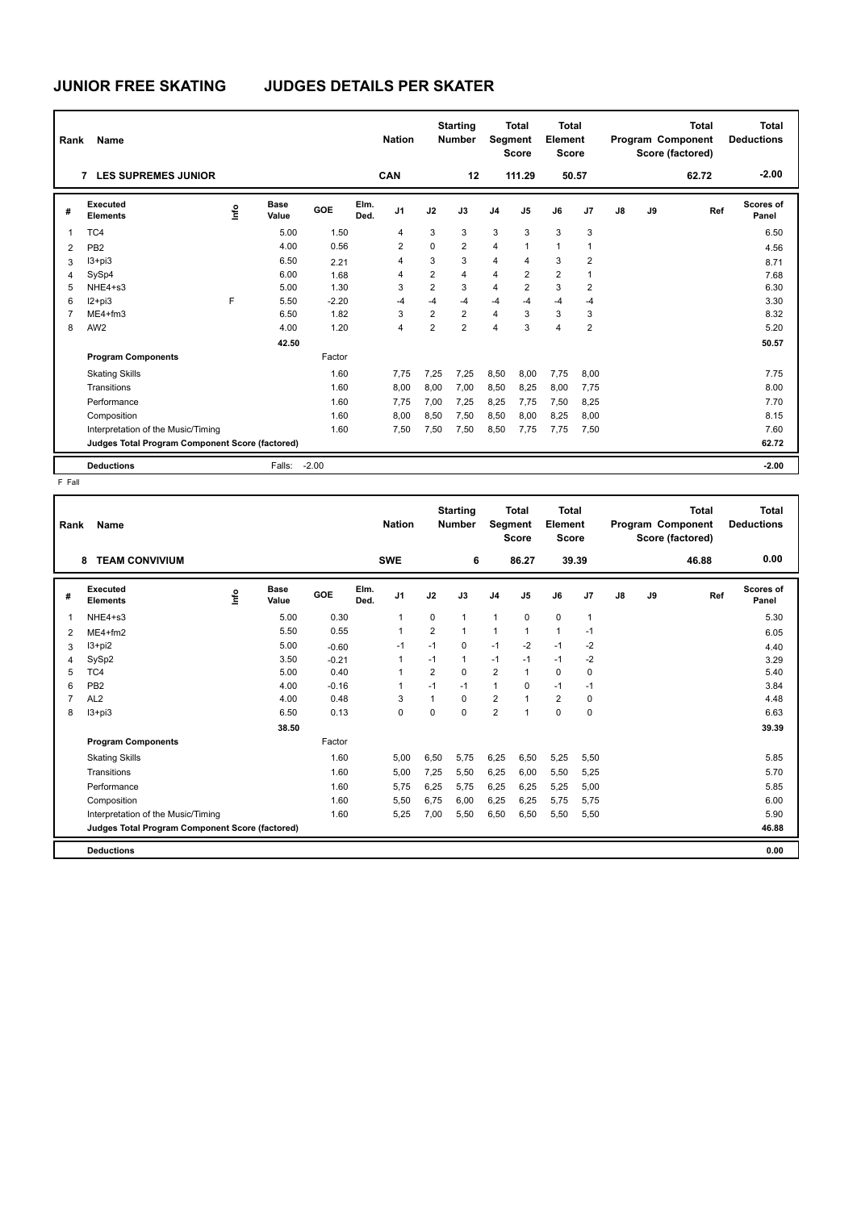| Rank           | Name                                            |      |                      |            |              | <b>Nation</b>  |                | <b>Starting</b><br><b>Number</b> | Segment        | Total<br><b>Score</b> | <b>Total</b><br><b>Element</b><br><b>Score</b> |                |    |    | <b>Total</b><br>Program Component<br>Score (factored) | Total<br><b>Deductions</b> |
|----------------|-------------------------------------------------|------|----------------------|------------|--------------|----------------|----------------|----------------------------------|----------------|-----------------------|------------------------------------------------|----------------|----|----|-------------------------------------------------------|----------------------------|
|                | <b>LES SUPREMES JUNIOR</b><br>7                 |      |                      |            |              | <b>CAN</b>     |                | 12                               |                | 111.29                | 50.57                                          |                |    |    | 62.72                                                 | $-2.00$                    |
| #              | Executed<br><b>Elements</b>                     | Info | <b>Base</b><br>Value | <b>GOE</b> | Elm.<br>Ded. | J <sub>1</sub> | J2             | J3                               | J <sub>4</sub> | J <sub>5</sub>        | J6                                             | J <sub>7</sub> | J8 | J9 | Ref                                                   | Scores of<br>Panel         |
| 1              | TC4                                             |      | 5.00                 | 1.50       |              | 4              | 3              | 3                                | 3              | 3                     | 3                                              | 3              |    |    |                                                       | 6.50                       |
| 2              | PB <sub>2</sub>                                 |      | 4.00                 | 0.56       |              | 2              | $\mathbf 0$    | $\overline{2}$                   | 4              | 1                     | $\mathbf{1}$                                   | $\mathbf 1$    |    |    |                                                       | 4.56                       |
| 3              | $13 + pi3$                                      |      | 6.50                 | 2.21       |              | 4              | 3              | 3                                | $\overline{4}$ | 4                     | 3                                              | $\overline{2}$ |    |    |                                                       | 8.71                       |
| 4              | SySp4                                           |      | 6.00                 | 1.68       |              | 4              | $\overline{2}$ | $\overline{4}$                   | 4              | $\overline{2}$        | $\overline{2}$                                 | 1              |    |    |                                                       | 7.68                       |
| 5              | NHE4+s3                                         |      | 5.00                 | 1.30       |              | 3              | $\overline{2}$ | 3                                | 4              | $\overline{2}$        | 3                                              | 2              |    |    |                                                       | 6.30                       |
| 6              | $12+pi3$                                        | F    | 5.50                 | $-2.20$    |              | $-4$           | $-4$           | -4                               | $-4$           | $-4$                  | $-4$                                           | $-4$           |    |    |                                                       | 3.30                       |
| $\overline{7}$ | $ME4 + fm3$                                     |      | 6.50                 | 1.82       |              | 3              | $\overline{2}$ | $\overline{2}$                   | $\overline{4}$ | 3                     | 3                                              | 3              |    |    |                                                       | 8.32                       |
| 8              | AW <sub>2</sub>                                 |      | 4.00                 | 1.20       |              | 4              | $\overline{2}$ | $\overline{2}$                   | 4              | 3                     | $\overline{4}$                                 | $\overline{2}$ |    |    |                                                       | 5.20                       |
|                |                                                 |      | 42.50                |            |              |                |                |                                  |                |                       |                                                |                |    |    |                                                       | 50.57                      |
|                | <b>Program Components</b>                       |      |                      | Factor     |              |                |                |                                  |                |                       |                                                |                |    |    |                                                       |                            |
|                | <b>Skating Skills</b>                           |      |                      | 1.60       |              | 7,75           | 7,25           | 7,25                             | 8,50           | 8,00                  | 7,75                                           | 8,00           |    |    |                                                       | 7.75                       |
|                | Transitions                                     |      |                      | 1.60       |              | 8.00           | 8.00           | 7,00                             | 8,50           | 8,25                  | 8,00                                           | 7,75           |    |    |                                                       | 8.00                       |
|                | Performance                                     |      |                      | 1.60       |              | 7,75           | 7,00           | 7,25                             | 8,25           | 7,75                  | 7,50                                           | 8,25           |    |    |                                                       | 7.70                       |
|                | Composition                                     |      |                      | 1.60       |              | 8,00           | 8,50           | 7,50                             | 8,50           | 8,00                  | 8,25                                           | 8,00           |    |    |                                                       | 8.15                       |
|                | Interpretation of the Music/Timing              |      |                      | 1.60       |              | 7,50           | 7,50           | 7,50                             | 8,50           | 7,75                  | 7,75                                           | 7,50           |    |    |                                                       | 7.60                       |
|                | Judges Total Program Component Score (factored) |      |                      |            |              |                |                |                                  |                |                       |                                                |                |    |    |                                                       | 62.72                      |
|                | <b>Deductions</b>                               |      | Falls:               | $-2.00$    |              |                |                |                                  |                |                       |                                                |                |    |    |                                                       | $-2.00$                    |

| Rank           | Name                                            |    |               |         |              | <b>Nation</b>  |                | <b>Starting</b><br><b>Number</b> | Segment        | <b>Total</b><br><b>Score</b> | <b>Total</b><br>Element<br><b>Score</b> |              |    |    | <b>Total</b><br>Program Component<br>Score (factored) | <b>Total</b><br><b>Deductions</b> |
|----------------|-------------------------------------------------|----|---------------|---------|--------------|----------------|----------------|----------------------------------|----------------|------------------------------|-----------------------------------------|--------------|----|----|-------------------------------------------------------|-----------------------------------|
|                | <b>TEAM CONVIVIUM</b><br>8                      |    |               |         |              | <b>SWE</b>     |                | 6                                |                | 86.27                        | 39.39                                   |              |    |    | 46.88                                                 | 0.00                              |
| #              | Executed<br><b>Elements</b>                     | ۴ů | Base<br>Value | GOE     | Elm.<br>Ded. | J <sub>1</sub> | J2             | J3                               | J <sub>4</sub> | J <sub>5</sub>               | J6                                      | J7           | J8 | J9 | Ref                                                   | Scores of<br>Panel                |
| 1              | $NHE4 + s3$                                     |    | 5.00          | 0.30    |              | $\mathbf{1}$   | 0              | $\mathbf{1}$                     | $\mathbf{1}$   | $\mathbf 0$                  | $\mathbf 0$                             | $\mathbf{1}$ |    |    |                                                       | 5.30                              |
| 2              | $ME4 + fm2$                                     |    | 5.50          | 0.55    |              | $\overline{1}$ | $\overline{2}$ | $\mathbf{1}$                     | $\mathbf{1}$   | $\overline{1}$               | $\mathbf{1}$                            | $-1$         |    |    |                                                       | 6.05                              |
| 3              | $13 + pi2$                                      |    | 5.00          | $-0.60$ |              | $-1$           | $-1$           | $\Omega$                         | $-1$           | $-2$                         | $-1$                                    | $-2$         |    |    |                                                       | 4.40                              |
| 4              | SySp2                                           |    | 3.50          | $-0.21$ |              | 1              | $-1$           | $\mathbf{1}$                     | $-1$           | $-1$                         | $-1$                                    | $-2$         |    |    |                                                       | 3.29                              |
| 5              | TC4                                             |    | 5.00          | 0.40    |              | $\overline{1}$ | $\overline{2}$ | $\Omega$                         | $\overline{2}$ | $\mathbf{1}$                 | $\Omega$                                | 0            |    |    |                                                       | 5.40                              |
| 6              | PB <sub>2</sub>                                 |    | 4.00          | $-0.16$ |              | -1             | $-1$           | $-1$                             | $\mathbf{1}$   | $\Omega$                     | $-1$                                    | $-1$         |    |    |                                                       | 3.84                              |
| $\overline{7}$ | AL <sub>2</sub>                                 |    | 4.00          | 0.48    |              | 3              | $\mathbf{1}$   | $\Omega$                         | $\overline{2}$ | $\overline{1}$               | $\overline{2}$                          | 0            |    |    |                                                       | 4.48                              |
| 8              | $13 + pi3$                                      |    | 6.50          | 0.13    |              | 0              | 0              | $\Omega$                         | 2              | $\overline{1}$               | $\Omega$                                | 0            |    |    |                                                       | 6.63                              |
|                |                                                 |    | 38.50         |         |              |                |                |                                  |                |                              |                                         |              |    |    |                                                       | 39.39                             |
|                | <b>Program Components</b>                       |    |               | Factor  |              |                |                |                                  |                |                              |                                         |              |    |    |                                                       |                                   |
|                | <b>Skating Skills</b>                           |    |               | 1.60    |              | 5,00           | 6,50           | 5,75                             | 6,25           | 6,50                         | 5,25                                    | 5,50         |    |    |                                                       | 5.85                              |
|                | Transitions                                     |    |               | 1.60    |              | 5,00           | 7,25           | 5,50                             | 6,25           | 6,00                         | 5,50                                    | 5,25         |    |    |                                                       | 5.70                              |
|                | Performance                                     |    |               | 1.60    |              | 5.75           | 6,25           | 5.75                             | 6,25           | 6,25                         | 5,25                                    | 5,00         |    |    |                                                       | 5.85                              |
|                | Composition                                     |    |               | 1.60    |              | 5,50           | 6,75           | 6,00                             | 6,25           | 6,25                         | 5,75                                    | 5,75         |    |    |                                                       | 6.00                              |
|                | Interpretation of the Music/Timing              |    |               | 1.60    |              | 5,25           | 7,00           | 5,50                             | 6,50           | 6,50                         | 5,50                                    | 5,50         |    |    |                                                       | 5.90                              |
|                | Judges Total Program Component Score (factored) |    |               |         |              |                |                |                                  |                |                              |                                         |              |    |    |                                                       | 46.88                             |
|                | <b>Deductions</b>                               |    |               |         |              |                |                |                                  |                |                              |                                         |              |    |    |                                                       | 0.00                              |
|                |                                                 |    |               |         |              |                |                |                                  |                |                              |                                         |              |    |    |                                                       |                                   |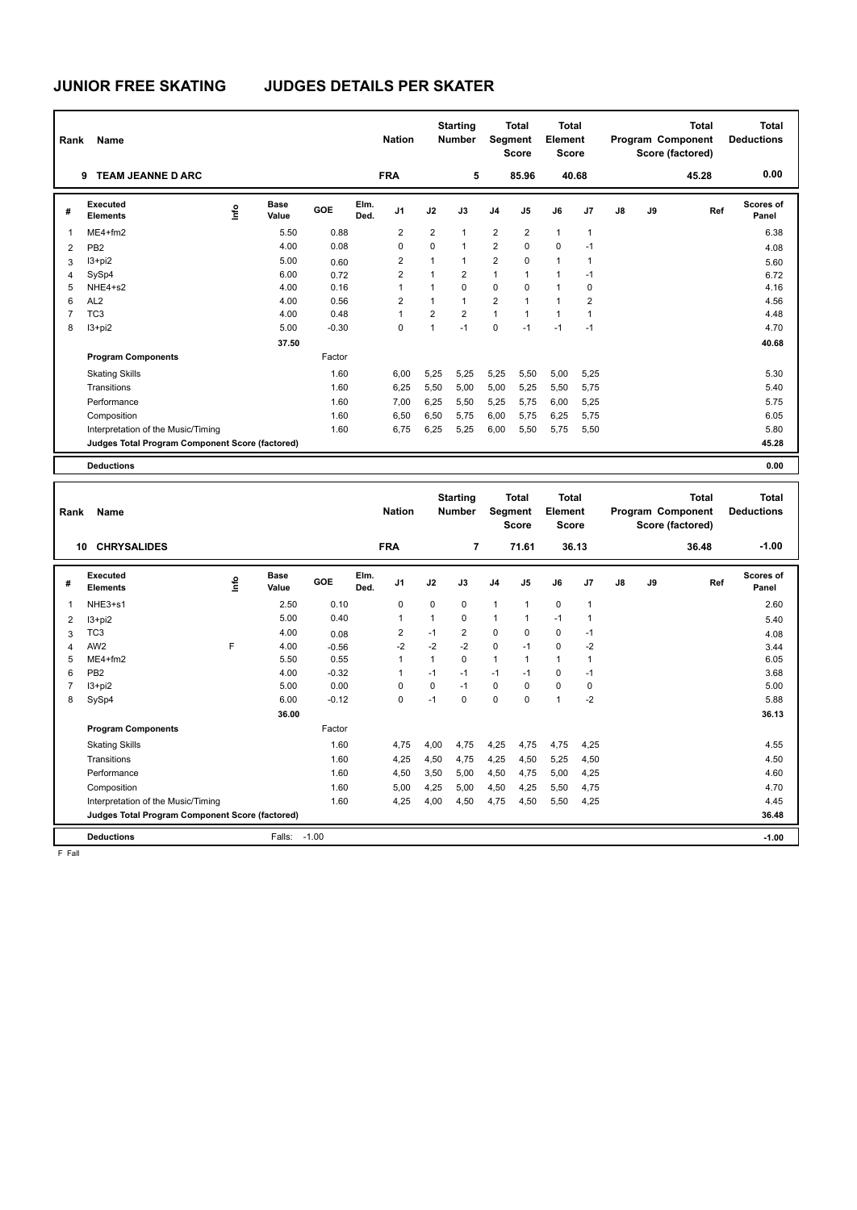| Rank           | Name                                            |      |                      |         |              | <b>Nation</b>  |                | <b>Starting</b><br><b>Number</b> |                | <b>Total</b><br>Segment<br><b>Score</b> | Total<br>Element<br><b>Score</b> |             |               |    | <b>Total</b><br>Program Component<br>Score (factored) | <b>Total</b><br><b>Deductions</b> |
|----------------|-------------------------------------------------|------|----------------------|---------|--------------|----------------|----------------|----------------------------------|----------------|-----------------------------------------|----------------------------------|-------------|---------------|----|-------------------------------------------------------|-----------------------------------|
|                | <b>TEAM JEANNE D ARC</b><br>9                   |      |                      |         |              | <b>FRA</b>     |                | 5                                |                | 85.96                                   |                                  | 40.68       |               |    | 45.28                                                 | 0.00                              |
| #              | Executed<br><b>Elements</b>                     | lnfo | <b>Base</b><br>Value | GOE     | Elm.<br>Ded. | J <sub>1</sub> | J2             | J3                               | J <sub>4</sub> | J <sub>5</sub>                          | J6                               | J7          | $\mathsf{J}8$ | J9 | Ref                                                   | Scores of<br>Panel                |
| $\mathbf 1$    | $ME4 + fm2$                                     |      | 5.50                 | 0.88    |              | 2              | $\overline{2}$ | $\mathbf{1}$                     | $\overline{2}$ | $\overline{2}$                          | $\mathbf{1}$                     | 1           |               |    |                                                       | 6.38                              |
| 2              | PB <sub>2</sub>                                 |      | 4.00                 | 0.08    |              | 0              | 0              | $\mathbf{1}$                     | 2              | $\mathbf 0$                             | $\mathbf 0$                      | $-1$        |               |    |                                                       | 4.08                              |
| 3              | $13+pi2$                                        |      | 5.00                 | 0.60    |              | $\overline{2}$ | 1              | $\mathbf{1}$                     | $\overline{2}$ | $\mathbf 0$                             | $\overline{1}$                   | -1          |               |    |                                                       | 5.60                              |
| $\overline{4}$ | SySp4                                           |      | 6.00                 | 0.72    |              | $\overline{2}$ | $\overline{1}$ | $\overline{2}$                   | 1              | $\overline{1}$                          | $\overline{1}$                   | $-1$        |               |    |                                                       | 6.72                              |
| 5              | NHE4+s2                                         |      | 4.00                 | 0.16    |              | 1              | 1              | $\mathbf 0$                      | 0              | 0                                       | $\mathbf{1}$                     | 0           |               |    |                                                       | 4.16                              |
| 6              | AL <sub>2</sub>                                 |      | 4.00                 | 0.56    |              | $\overline{2}$ | 1              | $\mathbf{1}$                     | $\overline{2}$ | $\mathbf{1}$                            | $\overline{1}$                   | 2           |               |    |                                                       | 4.56                              |
| $\overline{7}$ | TC <sub>3</sub>                                 |      | 4.00                 | 0.48    |              | $\mathbf{1}$   | $\overline{2}$ | $\overline{2}$                   | $\mathbf{1}$   | $\mathbf{1}$                            | $\overline{1}$                   | $\mathbf 1$ |               |    |                                                       | 4.48                              |
| 8              | $13 + pi2$                                      |      | 5.00                 | $-0.30$ |              | 0              | 1              | $-1$                             | $\Omega$       | $-1$                                    | $-1$                             | $-1$        |               |    |                                                       | 4.70                              |
|                |                                                 |      | 37.50                |         |              |                |                |                                  |                |                                         |                                  |             |               |    |                                                       | 40.68                             |
|                | <b>Program Components</b>                       |      |                      | Factor  |              |                |                |                                  |                |                                         |                                  |             |               |    |                                                       |                                   |
|                | <b>Skating Skills</b>                           |      |                      | 1.60    |              | 6,00           | 5,25           | 5,25                             | 5,25           | 5,50                                    | 5,00                             | 5,25        |               |    |                                                       | 5.30                              |
|                | Transitions                                     |      |                      | 1.60    |              | 6,25           | 5,50           | 5,00                             | 5,00           | 5,25                                    | 5,50                             | 5,75        |               |    |                                                       | 5.40                              |
|                | Performance                                     |      |                      | 1.60    |              | 7,00           | 6,25           | 5,50                             | 5,25           | 5,75                                    | 6,00                             | 5,25        |               |    |                                                       | 5.75                              |
|                | Composition                                     |      |                      | 1.60    |              | 6,50           | 6,50           | 5,75                             | 6,00           | 5,75                                    | 6,25                             | 5,75        |               |    |                                                       | 6.05                              |
|                | Interpretation of the Music/Timing              |      |                      | 1.60    |              | 6.75           | 6,25           | 5,25                             | 6,00           | 5,50                                    | 5,75                             | 5,50        |               |    |                                                       | 5.80                              |
|                | Judges Total Program Component Score (factored) |      |                      |         |              |                |                |                                  |                |                                         |                                  |             |               |    |                                                       | 45.28                             |
|                | <b>Deductions</b>                               |      |                      |         |              |                |                |                                  |                |                                         |                                  |             |               |    |                                                       | 0.00                              |

| Rank                    | Name                                            |                                  |                      |         |              | <b>Nation</b>  |          | <b>Starting</b><br><b>Number</b> | Segment        | <b>Total</b><br><b>Score</b> | <b>Total</b><br>Element<br><b>Score</b> |                |               |    | <b>Total</b><br>Program Component<br>Score (factored) | <b>Total</b><br><b>Deductions</b> |
|-------------------------|-------------------------------------------------|----------------------------------|----------------------|---------|--------------|----------------|----------|----------------------------------|----------------|------------------------------|-----------------------------------------|----------------|---------------|----|-------------------------------------------------------|-----------------------------------|
| 10                      | <b>CHRYSALIDES</b>                              |                                  |                      |         |              | <b>FRA</b>     |          | 7                                |                | 71.61                        |                                         | 36.13          |               |    | 36.48                                                 | $-1.00$                           |
| #                       | Executed<br><b>Elements</b>                     | $\mathop{\mathsf{Irr}}\nolimits$ | <b>Base</b><br>Value | GOE     | Elm.<br>Ded. | J <sub>1</sub> | J2       | J3                               | J <sub>4</sub> | J <sub>5</sub>               | J6                                      | J <sub>7</sub> | $\mathsf{J}8$ | J9 | Ref                                                   | <b>Scores of</b><br>Panel         |
| $\overline{\mathbf{1}}$ | NHE3+s1                                         |                                  | 2.50                 | 0.10    |              | 0              | $\Omega$ | 0                                | $\overline{1}$ | $\mathbf{1}$                 | $\mathbf 0$                             | $\overline{1}$ |               |    |                                                       | 2.60                              |
| 2                       | $13 + pi2$                                      |                                  | 5.00                 | 0.40    |              | $\overline{1}$ | 1        | $\Omega$                         | $\mathbf{1}$   | 1                            | $-1$                                    | $\overline{1}$ |               |    |                                                       | 5.40                              |
| 3                       | TC <sub>3</sub>                                 |                                  | 4.00                 | 0.08    |              | 2              | $-1$     | $\overline{2}$                   | $\mathbf 0$    | $\Omega$                     | 0                                       | $-1$           |               |    |                                                       | 4.08                              |
| $\overline{4}$          | AW <sub>2</sub>                                 | F                                | 4.00                 | $-0.56$ |              | $-2$           | $-2$     | $-2$                             | $\mathbf 0$    | $-1$                         | 0                                       | $-2$           |               |    |                                                       | 3.44                              |
| 5                       | $ME4+fm2$                                       |                                  | 5.50                 | 0.55    |              | $\overline{1}$ | 1        | $\Omega$                         | $\mathbf{1}$   | $\mathbf{1}$                 | 1                                       | $\overline{1}$ |               |    |                                                       | 6.05                              |
| 6                       | PB <sub>2</sub>                                 |                                  | 4.00                 | $-0.32$ |              | -1             | $-1$     | $-1$                             | $-1$           | $-1$                         | $\Omega$                                | $-1$           |               |    |                                                       | 3.68                              |
| $\overline{7}$          | $13 + pi2$                                      |                                  | 5.00                 | 0.00    |              | 0              | 0        | $-1$                             | $\mathbf 0$    | $\mathbf 0$                  | 0                                       | 0              |               |    |                                                       | 5.00                              |
| 8                       | SySp4                                           |                                  | 6.00                 | $-0.12$ |              | 0              | $-1$     | $\Omega$                         | $\Omega$       | $\Omega$                     | $\mathbf{1}$                            | $-2$           |               |    |                                                       | 5.88                              |
|                         |                                                 |                                  | 36.00                |         |              |                |          |                                  |                |                              |                                         |                |               |    |                                                       | 36.13                             |
|                         | <b>Program Components</b>                       |                                  |                      | Factor  |              |                |          |                                  |                |                              |                                         |                |               |    |                                                       |                                   |
|                         | <b>Skating Skills</b>                           |                                  |                      | 1.60    |              | 4,75           | 4,00     | 4,75                             | 4,25           | 4,75                         | 4,75                                    | 4,25           |               |    |                                                       | 4.55                              |
|                         | Transitions                                     |                                  |                      | 1.60    |              | 4,25           | 4,50     | 4,75                             | 4,25           | 4,50                         | 5,25                                    | 4,50           |               |    |                                                       | 4.50                              |
|                         | Performance                                     |                                  |                      | 1.60    |              | 4,50           | 3,50     | 5,00                             | 4,50           | 4,75                         | 5,00                                    | 4,25           |               |    |                                                       | 4.60                              |
|                         | Composition                                     |                                  |                      | 1.60    |              | 5,00           | 4,25     | 5,00                             | 4,50           | 4,25                         | 5,50                                    | 4,75           |               |    |                                                       | 4.70                              |
|                         | Interpretation of the Music/Timing              |                                  |                      | 1.60    |              | 4,25           | 4,00     | 4,50                             | 4,75           | 4,50                         | 5,50                                    | 4,25           |               |    |                                                       | 4.45                              |
|                         | Judges Total Program Component Score (factored) |                                  |                      |         |              |                |          |                                  |                |                              |                                         |                |               |    |                                                       | 36.48                             |
|                         | <b>Deductions</b>                               |                                  | Falls:               | $-1.00$ |              |                |          |                                  |                |                              |                                         |                |               |    |                                                       | $-1.00$                           |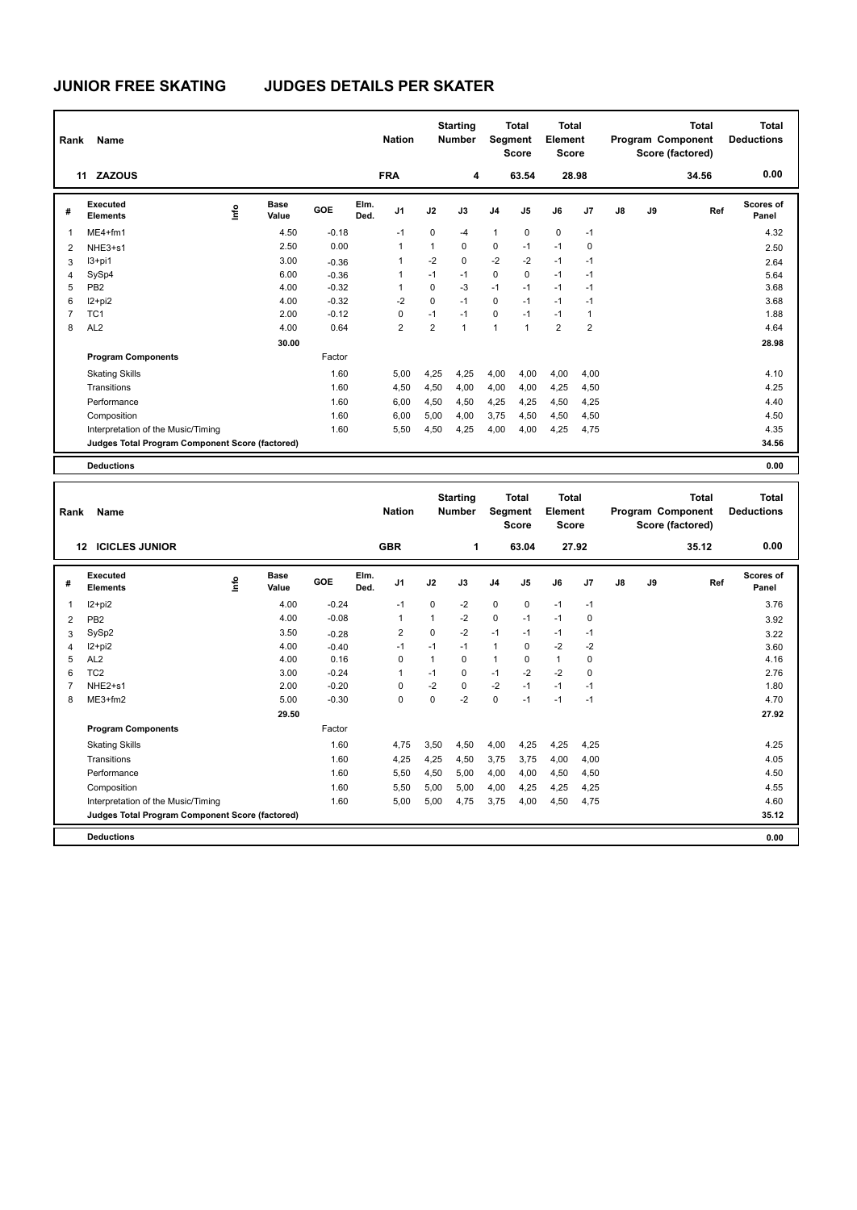| Rank           | Name                                            |    |                      |         |              | <b>Nation</b>  |                | <b>Starting</b><br><b>Number</b> |                | <b>Total</b><br>Segment<br><b>Score</b> | <b>Total</b><br>Element<br><b>Score</b> |                |    |    | <b>Total</b><br>Program Component<br>Score (factored) | <b>Total</b><br><b>Deductions</b> |
|----------------|-------------------------------------------------|----|----------------------|---------|--------------|----------------|----------------|----------------------------------|----------------|-----------------------------------------|-----------------------------------------|----------------|----|----|-------------------------------------------------------|-----------------------------------|
|                | <b>ZAZOUS</b><br>11                             |    |                      |         |              | <b>FRA</b>     |                | 4                                |                | 63.54                                   |                                         | 28.98          |    |    | 34.56                                                 | 0.00                              |
| #              | Executed<br><b>Elements</b>                     | ۴ů | <b>Base</b><br>Value | GOE     | Elm.<br>Ded. | J <sub>1</sub> | J2             | J3                               | J <sub>4</sub> | J <sub>5</sub>                          | J6                                      | J <sub>7</sub> | J8 | J9 | Ref                                                   | Scores of<br>Panel                |
| 1              | $ME4 + fm1$                                     |    | 4.50                 | $-0.18$ |              | $-1$           | $\mathbf 0$    | -4                               | 1              | $\mathbf 0$                             | $\mathbf 0$                             | $-1$           |    |    |                                                       | 4.32                              |
| 2              | NHE3+s1                                         |    | 2.50                 | 0.00    |              | 1              | $\mathbf{1}$   | $\mathbf 0$                      | $\pmb{0}$      | $-1$                                    | $-1$                                    | $\mathbf 0$    |    |    |                                                       | 2.50                              |
| 3              | $13+pi1$                                        |    | 3.00                 | $-0.36$ |              |                | $-2$           | $\mathbf 0$                      | $-2$           | $-2$                                    | $-1$                                    | $-1$           |    |    |                                                       | 2.64                              |
| 4              | SySp4                                           |    | 6.00                 | $-0.36$ |              | 1              | $-1$           | $-1$                             | $\pmb{0}$      | $\mathbf 0$                             | $-1$                                    | $-1$           |    |    |                                                       | 5.64                              |
| 5              | PB <sub>2</sub>                                 |    | 4.00                 | $-0.32$ |              |                | 0              | -3                               | $-1$           | $-1$                                    | $-1$                                    | $-1$           |    |    |                                                       | 3.68                              |
| 6              | $12 + pi2$                                      |    | 4.00                 | $-0.32$ |              | $-2$           | 0              | $-1$                             | 0              | $-1$                                    | $-1$                                    | $-1$           |    |    |                                                       | 3.68                              |
| $\overline{7}$ | TC <sub>1</sub>                                 |    | 2.00                 | $-0.12$ |              | 0              | $-1$           | $-1$                             | $\mathbf 0$    | $-1$                                    | $-1$                                    | $\mathbf 1$    |    |    |                                                       | 1.88                              |
| 8              | AL <sub>2</sub>                                 |    | 4.00                 | 0.64    |              | $\overline{2}$ | $\overline{2}$ | $\overline{1}$                   | $\overline{1}$ | $\mathbf{1}$                            | $\overline{2}$                          | $\overline{2}$ |    |    |                                                       | 4.64                              |
|                |                                                 |    | 30.00                |         |              |                |                |                                  |                |                                         |                                         |                |    |    |                                                       | 28.98                             |
|                | <b>Program Components</b>                       |    |                      | Factor  |              |                |                |                                  |                |                                         |                                         |                |    |    |                                                       |                                   |
|                | <b>Skating Skills</b>                           |    |                      | 1.60    |              | 5,00           | 4,25           | 4,25                             | 4,00           | 4,00                                    | 4,00                                    | 4,00           |    |    |                                                       | 4.10                              |
|                | Transitions                                     |    |                      | 1.60    |              | 4,50           | 4,50           | 4,00                             | 4,00           | 4,00                                    | 4,25                                    | 4,50           |    |    |                                                       | 4.25                              |
|                | Performance                                     |    |                      | 1.60    |              | 6,00           | 4,50           | 4,50                             | 4,25           | 4,25                                    | 4,50                                    | 4,25           |    |    |                                                       | 4.40                              |
|                | Composition                                     |    |                      | 1.60    |              | 6,00           | 5,00           | 4,00                             | 3,75           | 4,50                                    | 4,50                                    | 4,50           |    |    |                                                       | 4.50                              |
|                | Interpretation of the Music/Timing              |    |                      | 1.60    |              | 5,50           | 4,50           | 4,25                             | 4,00           | 4,00                                    | 4,25                                    | 4,75           |    |    |                                                       | 4.35                              |
|                | Judges Total Program Component Score (factored) |    |                      |         |              |                |                |                                  |                |                                         |                                         |                |    |    |                                                       | 34.56                             |
|                | <b>Deductions</b>                               |    |                      |         |              |                |                |                                  |                |                                         |                                         |                |    |    |                                                       | 0.00                              |

| Rank           | Name                                            |    |                      |            |              | <b>Nation</b>  |          | <b>Starting</b><br><b>Number</b> |                | <b>Total</b><br>Segment<br><b>Score</b> | <b>Total</b><br>Element<br><b>Score</b> |       |               |    | <b>Total</b><br>Program Component<br>Score (factored) | <b>Total</b><br><b>Deductions</b> |
|----------------|-------------------------------------------------|----|----------------------|------------|--------------|----------------|----------|----------------------------------|----------------|-----------------------------------------|-----------------------------------------|-------|---------------|----|-------------------------------------------------------|-----------------------------------|
|                | <b>ICICLES JUNIOR</b><br>12 <sup>12</sup>       |    |                      |            |              | <b>GBR</b>     |          | 1                                |                | 63.04                                   |                                         | 27.92 |               |    | 35.12                                                 | 0.00                              |
| #              | Executed<br><b>Elements</b>                     | ۴ů | <b>Base</b><br>Value | <b>GOE</b> | Elm.<br>Ded. | J <sub>1</sub> | J2       | J3                               | J <sub>4</sub> | J <sub>5</sub>                          | J6                                      | J7    | $\mathsf{J}8$ | J9 | Ref                                                   | Scores of<br>Panel                |
| 1              | $12 + pi2$                                      |    | 4.00                 | $-0.24$    |              | $-1$           | 0        | $-2$                             | $\mathbf 0$    | 0                                       | $-1$                                    | $-1$  |               |    |                                                       | 3.76                              |
| 2              | PB <sub>2</sub>                                 |    | 4.00                 | $-0.08$    |              | $\overline{1}$ | 1        | $-2$                             | $\pmb{0}$      | $-1$                                    | $-1$                                    | 0     |               |    |                                                       | 3.92                              |
| 3              | SySp2                                           |    | 3.50                 | $-0.28$    |              | 2              | $\Omega$ | $-2$                             | $-1$           | $-1$                                    | $-1$                                    | $-1$  |               |    |                                                       | 3.22                              |
| 4              | $12 + pi2$                                      |    | 4.00                 | $-0.40$    |              | $-1$           | $-1$     | $-1$                             | $\mathbf{1}$   | 0                                       | $-2$                                    | $-2$  |               |    |                                                       | 3.60                              |
| 5              | AL <sub>2</sub>                                 |    | 4.00                 | 0.16       |              | $\Omega$       |          | $\Omega$                         | $\mathbf{1}$   | $\Omega$                                | $\mathbf{1}$                            | 0     |               |    |                                                       | 4.16                              |
| 6              | TC <sub>2</sub>                                 |    | 3.00                 | $-0.24$    |              | $\overline{1}$ | $-1$     | $\Omega$                         | $-1$           | $-2$                                    | $-2$                                    | 0     |               |    |                                                       | 2.76                              |
| $\overline{7}$ | NHE <sub>2+s1</sub>                             |    | 2.00                 | $-0.20$    |              | $\Omega$       | $-2$     | $\Omega$                         | $-2$           | $-1$                                    | $-1$                                    | $-1$  |               |    |                                                       | 1.80                              |
| 8              | $ME3+fm2$                                       |    | 5.00                 | $-0.30$    |              | 0              | $\Omega$ | $-2$                             | $\mathbf 0$    | $-1$                                    | $-1$                                    | $-1$  |               |    |                                                       | 4.70                              |
|                |                                                 |    | 29.50                |            |              |                |          |                                  |                |                                         |                                         |       |               |    |                                                       | 27.92                             |
|                | <b>Program Components</b>                       |    |                      | Factor     |              |                |          |                                  |                |                                         |                                         |       |               |    |                                                       |                                   |
|                | <b>Skating Skills</b>                           |    |                      | 1.60       |              | 4,75           | 3,50     | 4,50                             | 4,00           | 4,25                                    | 4,25                                    | 4,25  |               |    |                                                       | 4.25                              |
|                | Transitions                                     |    |                      | 1.60       |              | 4.25           | 4,25     | 4,50                             | 3.75           | 3.75                                    | 4,00                                    | 4,00  |               |    |                                                       | 4.05                              |
|                | Performance                                     |    |                      | 1.60       |              | 5.50           | 4,50     | 5,00                             | 4,00           | 4,00                                    | 4,50                                    | 4,50  |               |    |                                                       | 4.50                              |
|                | Composition                                     |    |                      | 1.60       |              | 5,50           | 5,00     | 5,00                             | 4,00           | 4,25                                    | 4,25                                    | 4,25  |               |    |                                                       | 4.55                              |
|                | Interpretation of the Music/Timing              |    |                      | 1.60       |              | 5.00           | 5,00     | 4.75                             | 3,75           | 4,00                                    | 4,50                                    | 4,75  |               |    |                                                       | 4.60                              |
|                | Judges Total Program Component Score (factored) |    |                      |            |              |                |          |                                  |                |                                         |                                         |       |               |    |                                                       | 35.12                             |
|                | <b>Deductions</b>                               |    |                      |            |              |                |          |                                  |                |                                         |                                         |       |               |    |                                                       | 0.00                              |